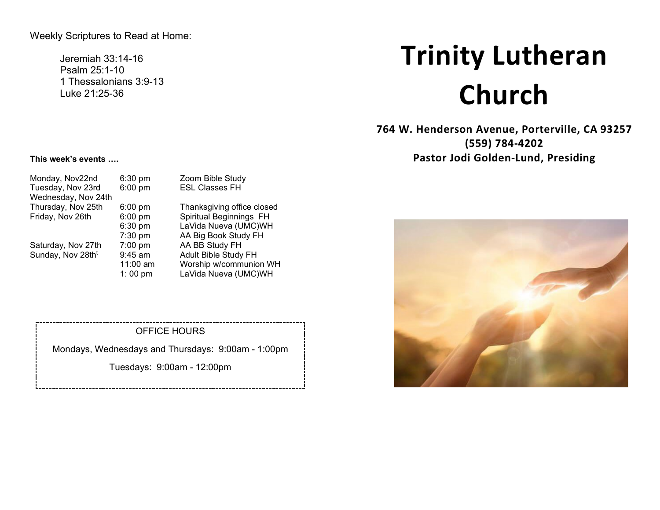Weekly Scriptures to Read at Home:

Jeremiah 33:14-16 Psalm 25:1-10 1 Thessalonians 3:9-13 Luke 21:25-36

# **Trinity Lutheran Church**

**764 W. Henderson Avenue, Porterville, CA 93257 (559) 784-4202 Pastor Jodi Golden-Lund, Presiding**



#### **This week's events ….**

| Monday, Nov22nd               | 6:30 pm   | Zoom Bible Study           |
|-------------------------------|-----------|----------------------------|
| Tuesday, Nov 23rd             | $6:00$ pm | <b>ESL Classes FH</b>      |
| Wednesday, Nov 24th           |           |                            |
| Thursday, Nov 25th            | $6:00$ pm | Thanksgiving office closed |
| Friday, Nov 26th              | $6:00$ pm | Spiritual Beginnings FH    |
|                               | 6:30 pm   | LaVida Nueva (UMC)WH       |
|                               | 7:30 pm   | AA Big Book Study FH       |
| Saturday, Nov 27th            | $7:00$ pm | AA BB Study FH             |
| Sunday, Nov 28th <sup>t</sup> | 9:45 am   | Adult Bible Study FH       |
|                               | 11:00 am  | Worship w/communion WH     |
|                               | 1:00 pm   | LaVida Nueva (UMC)WH       |

#### OFFICE HOURS

Mondays, Wednesdays and Thursdays: 9:00am - 1:00pm

Tuesdays: 9:00am - 12:00pm